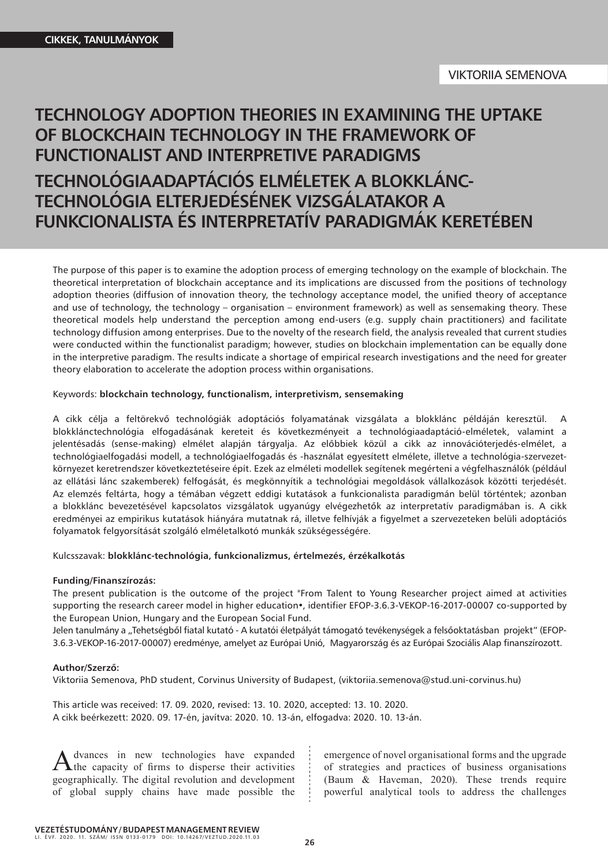# **TECHNOLOGY ADOPTION THEORIES IN EXAMINING THE UPTAKE OF BLOCKCHAIN TECHNOLOGY IN THE FRAMEWORK OF FUNCTIONALIST AND INTERPRETIVE PARADIGMS TECHNOLÓGIAADAPTÁCIÓS ELMÉLETEK A BLOKKLÁNC-TECHNOLÓGIA ELTERJEDÉSÉNEK VIZSGÁLATAKOR A FUNKCIONALISTA ÉS INTERPRETATÍV PARADIGMÁK KERETÉBEN**

The purpose of this paper is to examine the adoption process of emerging technology on the example of blockchain. The theoretical interpretation of blockchain acceptance and its implications are discussed from the positions of technology adoption theories (diffusion of innovation theory, the technology acceptance model, the unified theory of acceptance and use of technology, the technology – organisation – environment framework) as well as sensemaking theory. These theoretical models help understand the perception among end-users (e.g. supply chain practitioners) and facilitate technology diffusion among enterprises. Due to the novelty of the research field, the analysis revealed that current studies were conducted within the functionalist paradigm; however, studies on blockchain implementation can be equally done in the interpretive paradigm. The results indicate a shortage of empirical research investigations and the need for greater theory elaboration to accelerate the adoption process within organisations.

## Keywords: **blockchain technology, functionalism, interpretivism, sensemaking**

A cikk célja a feltörekvő technológiák adoptációs folyamatának vizsgálata a blokklánc példáján keresztül. A blokklánctechnológia elfogadásának kereteit és következményeit a technológiaadaptáció-elméletek, valamint a jelentésadás (sense-making) elmélet alapján tárgyalja. Az előbbiek közül a cikk az innovációterjedés-elmélet, a technológiaelfogadási modell, a technológiaelfogadás és -használat egyesített elmélete, illetve a technológia-szervezetkörnyezet keretrendszer következtetéseire épít. Ezek az elméleti modellek segítenek megérteni a végfelhasználók (például az ellátási lánc szakemberek) felfogását, és megkönnyítik a technológiai megoldások vállalkozások közötti terjedését. Az elemzés feltárta, hogy a témában végzett eddigi kutatások a funkcionalista paradigmán belül történtek; azonban a blokklánc bevezetésével kapcsolatos vizsgálatok ugyanúgy elvégezhetők az interpretatív paradigmában is. A cikk eredményei az empirikus kutatások hiányára mutatnak rá, illetve felhívják a figyelmet a szervezeteken belüli adoptációs folyamatok felgyorsítását szolgáló elméletalkotó munkák szükségességére.

#### Kulcsszavak: **blokklánc-technológia, funkcionalizmus, értelmezés, érzékalkotás**

#### **Funding/Finanszírozás:**

The present publication is the outcome of the project "From Talent to Young Researcher project aimed at activities supporting the research career model in higher education•, identifier EFOP-3.6.3-VEKOP-16-2017-00007 co-supported by the European Union, Hungary and the European Social Fund.

Jelen tanulmány a "Tehetségből fiatal kutató - A kutatói életpályát támogató tevékenységek a felsőoktatásban projekt" (EFOP-3.6.3-VEKOP-16-2017-00007) eredménye, amelyet az Európai Unió, Magyarország és az Európai Szociális Alap finanszírozott.

#### **Author/Szerző:**

Viktoriia Semenova, PhD student, Corvinus University of Budapest, (viktoriia.semenova@stud.uni-corvinus.hu)

This article was received: 17. 09. 2020, revised: 13. 10. 2020, accepted: 13. 10. 2020. A cikk beérkezett: 2020. 09. 17-én, javítva: 2020. 10. 13-án, elfogadva: 2020. 10. 13-án.

A dvances in new technologies have expanded<br>the capacity of firms to disperse their activities geographically. The digital revolution and development of global supply chains have made possible the

emergence of novel organisational forms and the upgrade of strategies and practices of business organisations (Baum & Haveman, 2020). These trends require powerful analytical tools to address the challenges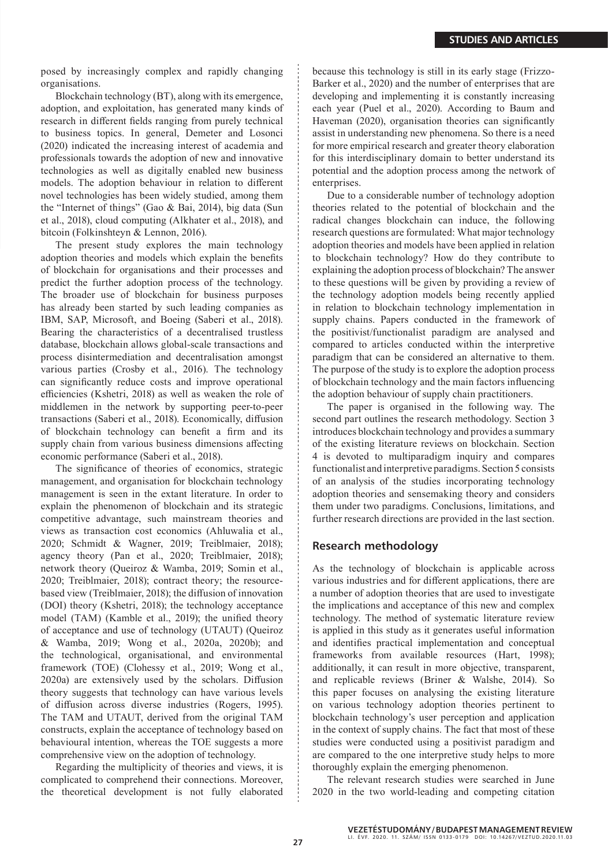posed by increasingly complex and rapidly changing organisations.

Blockchain technology (BT), along with its emergence, adoption, and exploitation, has generated many kinds of research in different fields ranging from purely technical to business topics. In general, Demeter and Losonci (2020) indicated the increasing interest of academia and professionals towards the adoption of new and innovative technologies as well as digitally enabled new business models. The adoption behaviour in relation to different novel technologies has been widely studied, among them the "Internet of things" (Gao & Bai, 2014), big data (Sun et al., 2018), cloud computing (Alkhater et al., 2018), and bitcoin (Folkinshteyn & Lennon, 2016).

The present study explores the main technology adoption theories and models which explain the benefits of blockchain for organisations and their processes and predict the further adoption process of the technology. The broader use of blockchain for business purposes has already been started by such leading companies as IBM, SAP, Microsoft, and Boeing (Saberi et al., 2018). Bearing the characteristics of a decentralised trustless database, blockchain allows global-scale transactions and process disintermediation and decentralisation amongst various parties (Crosby et al., 2016). The technology can significantly reduce costs and improve operational efficiencies (Kshetri, 2018) as well as weaken the role of middlemen in the network by supporting peer-to-peer transactions (Saberi et al., 2018). Economically, diffusion of blockchain technology can benefit a firm and its supply chain from various business dimensions affecting economic performance (Saberi et al., 2018).

The significance of theories of economics, strategic management, and organisation for blockchain technology management is seen in the extant literature. In order to explain the phenomenon of blockchain and its strategic competitive advantage, such mainstream theories and views as transaction cost economics (Ahluwalia et al., 2020; Schmidt & Wagner, 2019; Treiblmaier, 2018); agency theory (Pan et al., 2020; Treiblmaier, 2018); network theory (Queiroz & Wamba, 2019; Somin et al., 2020; Treiblmaier, 2018); contract theory; the resourcebased view (Treiblmaier, 2018); the diffusion of innovation (DOI) theory (Kshetri, 2018); the technology acceptance model (TAM) (Kamble et al., 2019); the unified theory of acceptance and use of technology (UTAUT) (Queiroz & Wamba, 2019; Wong et al., 2020a, 2020b); and the technological, organisational, and environmental framework (TOE) (Clohessy et al., 2019; Wong et al., 2020a) are extensively used by the scholars. Diffusion theory suggests that technology can have various levels of diffusion across diverse industries (Rogers, 1995). The TAM and UTAUT, derived from the original TAM constructs, explain the acceptance of technology based on behavioural intention, whereas the TOE suggests a more comprehensive view on the adoption of technology.

Regarding the multiplicity of theories and views, it is complicated to comprehend their connections. Moreover, the theoretical development is not fully elaborated because this technology is still in its early stage (Frizzo-Barker et al., 2020) and the number of enterprises that are developing and implementing it is constantly increasing each year (Puel et al., 2020). According to Baum and Haveman (2020), organisation theories can significantly assist in understanding new phenomena. So there is a need for more empirical research and greater theory elaboration for this interdisciplinary domain to better understand its potential and the adoption process among the network of enterprises.

Due to a considerable number of technology adoption theories related to the potential of blockchain and the radical changes blockchain can induce, the following research questions are formulated: What major technology adoption theories and models have been applied in relation to blockchain technology? How do they contribute to explaining the adoption process of blockchain? The answer to these questions will be given by providing a review of the technology adoption models being recently applied in relation to blockchain technology implementation in supply chains. Papers conducted in the framework of the positivist/functionalist paradigm are analysed and compared to articles conducted within the interpretive paradigm that can be considered an alternative to them. The purpose of the study is to explore the adoption process of blockchain technology and the main factors influencing the adoption behaviour of supply chain practitioners.

The paper is organised in the following way. The second part outlines the research methodology. Section 3 introduces blockchain technology and provides a summary of the existing literature reviews on blockchain. Section 4 is devoted to multiparadigm inquiry and compares functionalist and interpretive paradigms. Section 5 consists of an analysis of the studies incorporating technology adoption theories and sensemaking theory and considers them under two paradigms. Conclusions, limitations, and further research directions are provided in the last section.

# **Research methodology**

As the technology of blockchain is applicable across various industries and for different applications, there are a number of adoption theories that are used to investigate the implications and acceptance of this new and complex technology. The method of systematic literature review is applied in this study as it generates useful information and identifies practical implementation and conceptual frameworks from available resources (Hart, 1998); additionally, it can result in more objective, transparent, and replicable reviews (Briner & Walshe, 2014). So this paper focuses on analysing the existing literature on various technology adoption theories pertinent to blockchain technology's user perception and application in the context of supply chains. The fact that most of these studies were conducted using a positivist paradigm and are compared to the one interpretive study helps to more thoroughly explain the emerging phenomenon.

The relevant research studies were searched in June 2020 in the two world-leading and competing citation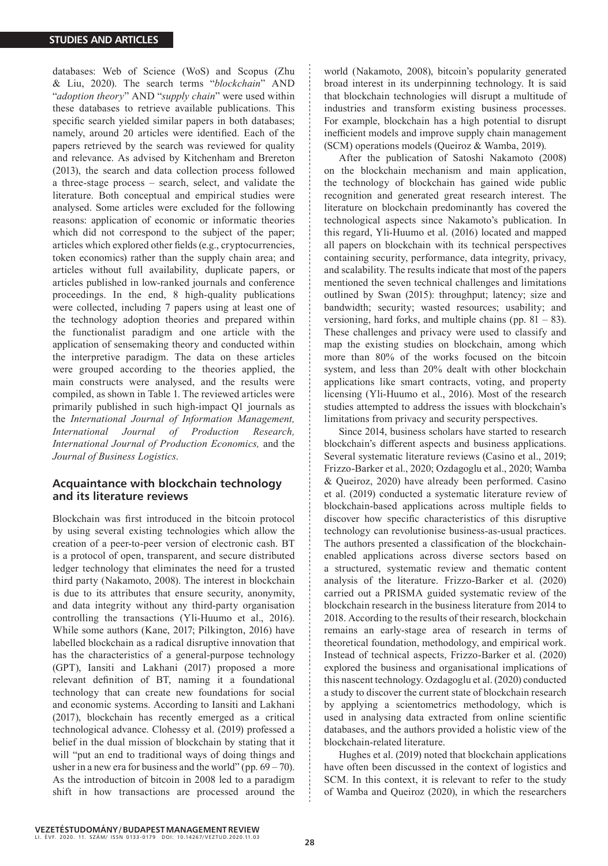databases: Web of Science (WoS) and Scopus (Zhu & Liu, 2020). The search terms "*blockchain*" AND "*adoption theory*" AND "*supply chain*" were used within these databases to retrieve available publications. This specific search yielded similar papers in both databases; namely, around 20 articles were identified. Each of the papers retrieved by the search was reviewed for quality and relevance. As advised by Kitchenham and Brereton (2013), the search and data collection process followed a three-stage process – search, select, and validate the literature. Both conceptual and empirical studies were analysed. Some articles were excluded for the following reasons: application of economic or informatic theories which did not correspond to the subject of the paper; articles which explored other fields (e.g., cryptocurrencies, token economics) rather than the supply chain area; and articles without full availability, duplicate papers, or articles published in low-ranked journals and conference proceedings. In the end, 8 high-quality publications were collected, including 7 papers using at least one of the technology adoption theories and prepared within the functionalist paradigm and one article with the application of sensemaking theory and conducted within the interpretive paradigm. The data on these articles were grouped according to the theories applied, the main constructs were analysed, and the results were compiled, as shown in Table 1. The reviewed articles were primarily published in such high-impact Q1 journals as the *International Journal of Information Management, International Journal of Production Research, International Journal of Production Economics,* and the *Journal of Business Logistics*.

# **Acquaintance with blockchain technology and its literature reviews**

Blockchain was first introduced in the bitcoin protocol by using several existing technologies which allow the creation of a peer-to-peer version of electronic cash. BT is a protocol of open, transparent, and secure distributed ledger technology that eliminates the need for a trusted third party (Nakamoto, 2008). The interest in blockchain is due to its attributes that ensure security, anonymity, and data integrity without any third-party organisation controlling the transactions (Yli-Huumo et al., 2016). While some authors (Kane, 2017; Pilkington, 2016) have labelled blockchain as a radical disruptive innovation that has the characteristics of a general-purpose technology (GPT), Iansiti and Lakhani (2017) proposed a more relevant definition of BT, naming it a foundational technology that can create new foundations for social and economic systems. According to Iansiti and Lakhani (2017), blockchain has recently emerged as a critical technological advance. Clohessy et al. (2019) professed a belief in the dual mission of blockchain by stating that it will "put an end to traditional ways of doing things and usher in a new era for business and the world" (pp.  $69 - 70$ ). As the introduction of bitcoin in 2008 led to a paradigm shift in how transactions are processed around the world (Nakamoto, 2008), bitcoin's popularity generated broad interest in its underpinning technology. It is said that blockchain technologies will disrupt a multitude of industries and transform existing business processes. For example, blockchain has a high potential to disrupt inefficient models and improve supply chain management (SCM) operations models (Queiroz & Wamba, 2019).

After the publication of Satoshi Nakamoto (2008) on the blockchain mechanism and main application, the technology of blockchain has gained wide public recognition and generated great research interest. The literature on blockchain predominantly has covered the technological aspects since Nakamoto's publication. In this regard, Yli-Huumo et al. (2016) located and mapped all papers on blockchain with its technical perspectives containing security, performance, data integrity, privacy, and scalability. The results indicate that most of the papers mentioned the seven technical challenges and limitations outlined by Swan (2015): throughput; latency; size and bandwidth; security; wasted resources; usability; and versioning, hard forks, and multiple chains (pp.  $81 - 83$ ). These challenges and privacy were used to classify and map the existing studies on blockchain, among which more than 80% of the works focused on the bitcoin system, and less than 20% dealt with other blockchain applications like smart contracts, voting, and property licensing (Yli-Huumo et al., 2016). Most of the research studies attempted to address the issues with blockchain's limitations from privacy and security perspectives.

Since 2014, business scholars have started to research blockchain's different aspects and business applications. Several systematic literature reviews (Casino et al., 2019; Frizzo-Barker et al., 2020; Ozdagoglu et al., 2020; Wamba & Queiroz, 2020) have already been performed. Casino et al. (2019) conducted a systematic literature review of blockchain-based applications across multiple fields to discover how specific characteristics of this disruptive technology can revolutionise business-as-usual practices. The authors presented a classification of the blockchainenabled applications across diverse sectors based on a structured, systematic review and thematic content analysis of the literature. Frizzo-Barker et al. (2020) carried out a PRISMA guided systematic review of the blockchain research in the business literature from 2014 to 2018. According to the results of their research, blockchain remains an early-stage area of research in terms of theoretical foundation, methodology, and empirical work. Instead of technical aspects, Frizzo-Barker et al. (2020) explored the business and organisational implications of this nascent technology. Ozdagoglu et al. (2020) conducted a study to discover the current state of blockchain research by applying a scientometrics methodology, which is used in analysing data extracted from online scientific databases, and the authors provided a holistic view of the blockchain-related literature.

Hughes et al. (2019) noted that blockchain applications have often been discussed in the context of logistics and SCM. In this context, it is relevant to refer to the study of Wamba and Queiroz (2020), in which the researchers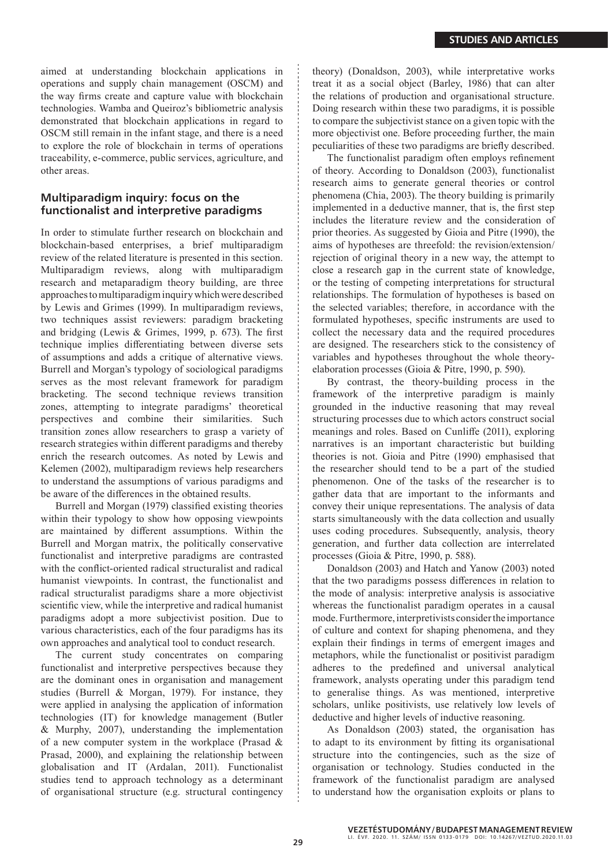aimed at understanding blockchain applications in operations and supply chain management (OSCM) and the way firms create and capture value with blockchain technologies. Wamba and Queiroz's bibliometric analysis demonstrated that blockchain applications in regard to OSCM still remain in the infant stage, and there is a need to explore the role of blockchain in terms of operations traceability, e-commerce, public services, agriculture, and other areas.

# **Multiparadigm inquiry: focus on the functionalist and interpretive paradigms**

In order to stimulate further research on blockchain and blockchain-based enterprises, a brief multiparadigm review of the related literature is presented in this section. Multiparadigm reviews, along with multiparadigm research and metaparadigm theory building, are three approaches to multiparadigm inquiry which were described by Lewis and Grimes (1999). In multiparadigm reviews, two techniques assist reviewers: paradigm bracketing and bridging (Lewis & Grimes, 1999, p. 673). The first technique implies differentiating between diverse sets of assumptions and adds a critique of alternative views. Burrell and Morgan's typology of sociological paradigms serves as the most relevant framework for paradigm bracketing. The second technique reviews transition zones, attempting to integrate paradigms' theoretical perspectives and combine their similarities. Such transition zones allow researchers to grasp a variety of research strategies within different paradigms and thereby enrich the research outcomes. As noted by Lewis and Kelemen (2002), multiparadigm reviews help researchers to understand the assumptions of various paradigms and be aware of the differences in the obtained results.

Burrell and Morgan (1979) classified existing theories within their typology to show how opposing viewpoints are maintained by different assumptions. Within the Burrell and Morgan matrix, the politically conservative functionalist and interpretive paradigms are contrasted with the conflict-oriented radical structuralist and radical humanist viewpoints. In contrast, the functionalist and radical structuralist paradigms share a more objectivist scientific view, while the interpretive and radical humanist paradigms adopt a more subjectivist position. Due to various characteristics, each of the four paradigms has its own approaches and analytical tool to conduct research.

The current study concentrates on comparing functionalist and interpretive perspectives because they are the dominant ones in organisation and management studies (Burrell & Morgan, 1979). For instance, they were applied in analysing the application of information technologies (IT) for knowledge management (Butler & Murphy, 2007), understanding the implementation of a new computer system in the workplace (Prasad & Prasad, 2000), and explaining the relationship between globalisation and IT (Ardalan, 2011). Functionalist studies tend to approach technology as a determinant of organisational structure (e.g. structural contingency theory) (Donaldson, 2003), while interpretative works treat it as a social object (Barley, 1986) that can alter the relations of production and organisational structure. Doing research within these two paradigms, it is possible to compare the subjectivist stance on a given topic with the more objectivist one. Before proceeding further, the main peculiarities of these two paradigms are briefly described.

The functionalist paradigm often employs refinement of theory. According to Donaldson (2003), functionalist research aims to generate general theories or control phenomena (Chia, 2003). The theory building is primarily implemented in a deductive manner, that is, the first step includes the literature review and the consideration of prior theories. As suggested by Gioia and Pitre (1990), the aims of hypotheses are threefold: the revision/extension/ rejection of original theory in a new way, the attempt to close a research gap in the current state of knowledge, or the testing of competing interpretations for structural relationships. The formulation of hypotheses is based on the selected variables; therefore, in accordance with the formulated hypotheses, specific instruments are used to collect the necessary data and the required procedures are designed. The researchers stick to the consistency of variables and hypotheses throughout the whole theoryelaboration processes (Gioia & Pitre, 1990, p. 590).

By contrast, the theory-building process in the framework of the interpretive paradigm is mainly grounded in the inductive reasoning that may reveal structuring processes due to which actors construct social meanings and roles. Based on Cunliffe (2011), exploring narratives is an important characteristic but building theories is not. Gioia and Pitre (1990) emphasised that the researcher should tend to be a part of the studied phenomenon. One of the tasks of the researcher is to gather data that are important to the informants and convey their unique representations. The analysis of data starts simultaneously with the data collection and usually uses coding procedures. Subsequently, analysis, theory generation, and further data collection are interrelated processes (Gioia & Pitre, 1990, p. 588).

Donaldson (2003) and Hatch and Yanow (2003) noted that the two paradigms possess differences in relation to the mode of analysis: interpretive analysis is associative whereas the functionalist paradigm operates in a causal mode. Furthermore, interpretivists consider the importance of culture and context for shaping phenomena, and they explain their findings in terms of emergent images and metaphors, while the functionalist or positivist paradigm adheres to the predefined and universal analytical framework, analysts operating under this paradigm tend to generalise things. As was mentioned, interpretive scholars, unlike positivists, use relatively low levels of deductive and higher levels of inductive reasoning.

As Donaldson (2003) stated, the organisation has to adapt to its environment by fitting its organisational structure into the contingencies, such as the size of organisation or technology. Studies conducted in the framework of the functionalist paradigm are analysed to understand how the organisation exploits or plans to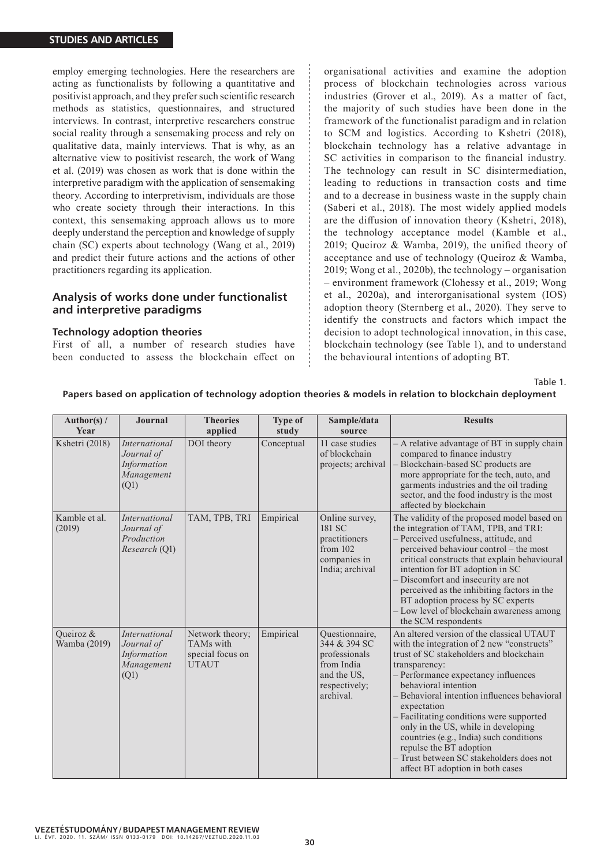employ emerging technologies. Here the researchers are acting as functionalists by following a quantitative and positivist approach, and they prefer such scientific research methods as statistics, questionnaires, and structured interviews. In contrast, interpretive researchers construe social reality through a sensemaking process and rely on qualitative data, mainly interviews. That is why, as an alternative view to positivist research, the work of Wang et al. (2019) was chosen as work that is done within the interpretive paradigm with the application of sensemaking theory. According to interpretivism, individuals are those who create society through their interactions. In this context, this sensemaking approach allows us to more deeply understand the perception and knowledge of supply chain (SC) experts about technology (Wang et al., 2019) and predict their future actions and the actions of other practitioners regarding its application.

# **Analysis of works done under functionalist and interpretive paradigms**

## **Technology adoption theories**

First of all, a number of research studies have been conducted to assess the blockchain effect on organisational activities and examine the adoption process of blockchain technologies across various industries (Grover et al., 2019). As a matter of fact, the majority of such studies have been done in the framework of the functionalist paradigm and in relation to SCM and logistics. According to Kshetri (2018), blockchain technology has a relative advantage in SC activities in comparison to the financial industry. The technology can result in SC disintermediation, leading to reductions in transaction costs and time and to a decrease in business waste in the supply chain (Saberi et al., 2018). The most widely applied models are the diffusion of innovation theory (Kshetri, 2018), the technology acceptance model (Kamble et al., 2019; Queiroz & Wamba, 2019), the unified theory of acceptance and use of technology (Queiroz & Wamba, 2019; Wong et al., 2020b), the technology – organisation – environment framework (Clohessy et al., 2019; Wong et al., 2020a), and interorganisational system (IOS) adoption theory (Sternberg et al., 2020). They serve to identify the constructs and factors which impact the decision to adopt technological innovation, in this case, blockchain technology (see Table 1), and to understand the behavioural intentions of adopting BT.

Table 1.

**Papers based on application of technology adoption theories & models in relation to blockchain deployment**

| Author(s) /<br><b>Year</b> | Journal                                                                 | <b>Theories</b><br>applied                                       | <b>Type of</b><br>study | Sample/data<br>source                                                                                      | <b>Results</b>                                                                                                                                                                                                                                                                                                                                                                                                                                                                                                           |
|----------------------------|-------------------------------------------------------------------------|------------------------------------------------------------------|-------------------------|------------------------------------------------------------------------------------------------------------|--------------------------------------------------------------------------------------------------------------------------------------------------------------------------------------------------------------------------------------------------------------------------------------------------------------------------------------------------------------------------------------------------------------------------------------------------------------------------------------------------------------------------|
| Kshetri (2018)             | <i>International</i><br>Journal of<br>Information<br>Management<br>(Q1) | DOI theory                                                       | Conceptual              | 11 case studies<br>of blockchain<br>projects; archival                                                     | - A relative advantage of BT in supply chain<br>compared to finance industry<br>Blockchain-based SC products are<br>more appropriate for the tech, auto, and<br>garments industries and the oil trading<br>sector, and the food industry is the most<br>affected by blockchain                                                                                                                                                                                                                                           |
| Kamble et al.<br>(2019)    | <i>International</i><br>Journal of<br>Production<br>Research (Q1)       | TAM, TPB, TRI                                                    | Empirical               | Online survey,<br>181 SC<br>practitioners<br>from 102<br>companies in<br>India; archival                   | The validity of the proposed model based on<br>the integration of TAM, TPB, and TRI:<br>- Perceived usefulness, attitude, and<br>perceived behaviour control - the most<br>critical constructs that explain behavioural<br>intention for BT adoption in SC<br>- Discomfort and insecurity are not<br>perceived as the inhibiting factors in the<br>BT adoption process by SC experts<br>- Low level of blockchain awareness among<br>the SCM respondents                                                                 |
| Queiroz &<br>Wamba (2019)  | <i>International</i><br>Journal of<br>Information<br>Management<br>(Q1) | Network theory;<br>TAMs with<br>special focus on<br><b>UTAUT</b> | Empirical               | Questionnaire,<br>344 & 394 SC<br>professionals<br>from India<br>and the US,<br>respectively;<br>archival. | An altered version of the classical UTAUT<br>with the integration of 2 new "constructs"<br>trust of SC stakeholders and blockchain<br>transparency:<br>- Performance expectancy influences<br>behavioral intention<br>Behavioral intention influences behavioral<br>expectation<br>- Facilitating conditions were supported<br>only in the US, while in developing<br>countries (e.g., India) such conditions<br>repulse the BT adoption<br>- Trust between SC stakeholders does not<br>affect BT adoption in both cases |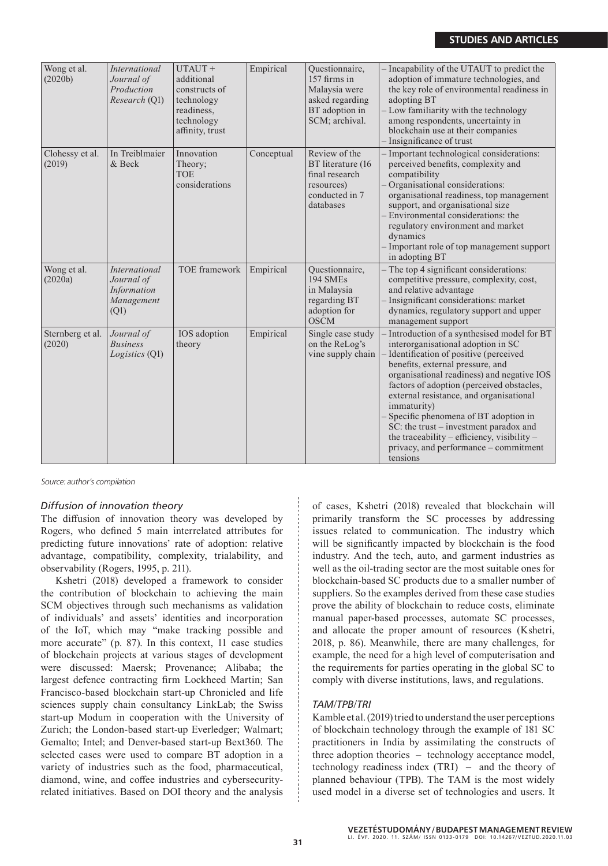| Wong et al.<br>(2020b)     | <b>International</b><br>Journal of<br>Production<br>Research (Q1)       | UTAUT +<br>additional<br>constructs of<br>technology<br>readiness,<br>technology<br>affinity, trust | Empirical  | Questionnaire,<br>157 firms in<br>Malaysia were<br>asked regarding<br>BT adoption in<br>SCM; archival. | Incapability of the UTAUT to predict the<br>adoption of immature technologies, and<br>the key role of environmental readiness in<br>adopting BT<br>Low familiarity with the technology<br>among respondents, uncertainty in<br>blockchain use at their companies<br>Insignificance of trust                                                                                                                                                                                                              |
|----------------------------|-------------------------------------------------------------------------|-----------------------------------------------------------------------------------------------------|------------|--------------------------------------------------------------------------------------------------------|----------------------------------------------------------------------------------------------------------------------------------------------------------------------------------------------------------------------------------------------------------------------------------------------------------------------------------------------------------------------------------------------------------------------------------------------------------------------------------------------------------|
| Clohessy et al.<br>(2019)  | In Treiblmaier<br>& Beck                                                | Innovation<br>Theory;<br><b>TOE</b><br>considerations                                               | Conceptual | Review of the<br>BT literature (16<br>final research<br>resources)<br>conducted in 7<br>databases      | Important technological considerations:<br>perceived benefits, complexity and<br>compatibility<br>Organisational considerations:<br>organisational readiness, top management<br>support, and organisational size<br>Environmental considerations: the<br>regulatory environment and market<br>dynamics<br>Important role of top management support<br>in adopting BT                                                                                                                                     |
| Wong et al.<br>(2020a)     | <b>International</b><br>Journal of<br>Information<br>Management<br>(Q1) | TOE framework                                                                                       | Empirical  | Questionnaire,<br><b>194 SMEs</b><br>in Malaysia<br>regarding BT<br>adoption for<br><b>OSCM</b>        | The top 4 significant considerations:<br>competitive pressure, complexity, cost,<br>and relative advantage<br>Insignificant considerations: market<br>dynamics, regulatory support and upper<br>management support                                                                                                                                                                                                                                                                                       |
| Sternberg et al.<br>(2020) | Journal of<br><b>Business</b><br>Logistics (Q1)                         | IOS adoption<br>theory                                                                              | Empirical  | Single case study<br>on the ReLog's<br>vine supply chain                                               | Introduction of a synthesised model for BT<br>interorganisational adoption in SC<br>Identification of positive (perceived<br>benefits, external pressure, and<br>organisational readiness) and negative IOS<br>factors of adoption (perceived obstacles,<br>external resistance, and organisational<br>immaturity)<br>Specific phenomena of BT adoption in<br>SC: the trust – investment paradox and<br>the traceability – efficiency, visibility –<br>privacy, and performance – commitment<br>tensions |

Source: author's compilation

## *Diffusion of innovation theory*

The diffusion of innovation theory was developed by Rogers, who defined 5 main interrelated attributes for predicting future innovations' rate of adoption: relative advantage, compatibility, complexity, trialability, and observability (Rogers, 1995, p. 211).

Kshetri (2018) developed a framework to consider the contribution of blockchain to achieving the main SCM objectives through such mechanisms as validation of individuals' and assets' identities and incorporation of the IoT, which may "make tracking possible and more accurate" (p. 87). In this context, 11 case studies of blockchain projects at various stages of development were discussed: Maersk; Provenance; Alibaba; the largest defence contracting firm Lockheed Martin; San Francisco-based blockchain start-up Chronicled and life sciences supply chain consultancy LinkLab; the Swiss start-up Modum in cooperation with the University of Zurich; the London-based start-up Everledger; Walmart; Gemalto; Intel; and Denver-based start-up Bext360. The selected cases were used to compare BT adoption in a variety of industries such as the food, pharmaceutical, diamond, wine, and coffee industries and cybersecurityrelated initiatives. Based on DOI theory and the analysis of cases, Kshetri (2018) revealed that blockchain will primarily transform the SC processes by addressing issues related to communication. The industry which will be significantly impacted by blockchain is the food industry. And the tech, auto, and garment industries as well as the oil-trading sector are the most suitable ones for blockchain-based SC products due to a smaller number of suppliers. So the examples derived from these case studies prove the ability of blockchain to reduce costs, eliminate manual paper-based processes, automate SC processes, and allocate the proper amount of resources (Kshetri, 2018, p. 86). Meanwhile, there are many challenges, for example, the need for a high level of computerisation and the requirements for parties operating in the global SC to comply with diverse institutions, laws, and regulations.

## *TAM/TPB/TRI*

Kamble et al. (2019) tried to understand the user perceptions of blockchain technology through the example of 181 SC practitioners in India by assimilating the constructs of three adoption theories – technology acceptance model, technology readiness index (TRI) – and the theory of planned behaviour (TPB). The TAM is the most widely used model in a diverse set of technologies and users. It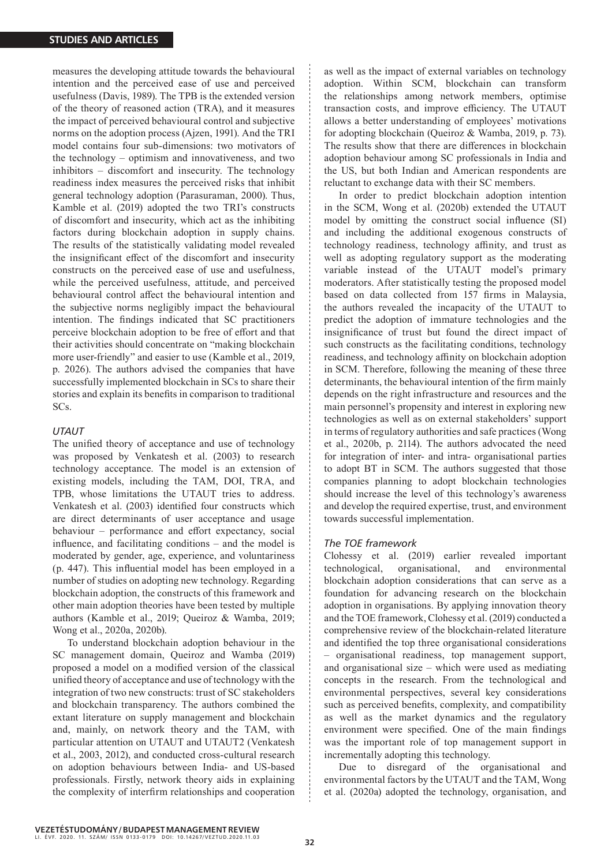measures the developing attitude towards the behavioural intention and the perceived ease of use and perceived usefulness (Davis, 1989). The TPB is the extended version of the theory of reasoned action (TRA), and it measures the impact of perceived behavioural control and subjective norms on the adoption process (Ajzen, 1991). And the TRI model contains four sub-dimensions: two motivators of the technology – optimism and innovativeness, and two inhibitors – discomfort and insecurity. The technology readiness index measures the perceived risks that inhibit general technology adoption (Parasuraman, 2000). Thus, Kamble et al. (2019) adopted the two TRI's constructs of discomfort and insecurity, which act as the inhibiting factors during blockchain adoption in supply chains. The results of the statistically validating model revealed the insignificant effect of the discomfort and insecurity constructs on the perceived ease of use and usefulness, while the perceived usefulness, attitude, and perceived behavioural control affect the behavioural intention and the subjective norms negligibly impact the behavioural intention. The findings indicated that SC practitioners perceive blockchain adoption to be free of effort and that their activities should concentrate on "making blockchain more user-friendly" and easier to use (Kamble et al., 2019, p. 2026). The authors advised the companies that have successfully implemented blockchain in SCs to share their stories and explain its benefits in comparison to traditional SCs.

#### *UTAUT*

The unified theory of acceptance and use of technology was proposed by Venkatesh et al. (2003) to research technology acceptance. The model is an extension of existing models, including the TAM, DOI, TRA, and TPB, whose limitations the UTAUT tries to address. Venkatesh et al. (2003) identified four constructs which are direct determinants of user acceptance and usage behaviour – performance and effort expectancy, social influence, and facilitating conditions – and the model is moderated by gender, age, experience, and voluntariness (p. 447). This influential model has been employed in a number of studies on adopting new technology. Regarding blockchain adoption, the constructs of this framework and other main adoption theories have been tested by multiple authors (Kamble et al., 2019; Queiroz & Wamba, 2019; Wong et al., 2020a, 2020b).

To understand blockchain adoption behaviour in the SC management domain, Queiroz and Wamba (2019) proposed a model on a modified version of the classical unified theory of acceptance and use of technology with the integration of two new constructs: trust of SC stakeholders and blockchain transparency. The authors combined the extant literature on supply management and blockchain and, mainly, on network theory and the TAM, with particular attention on UTAUT and UTAUT2 (Venkatesh et al., 2003, 2012), and conducted cross-cultural research on adoption behaviours between India- and US-based professionals. Firstly, network theory aids in explaining the complexity of interfirm relationships and cooperation as well as the impact of external variables on technology adoption. Within SCM, blockchain can transform the relationships among network members, optimise transaction costs, and improve efficiency. The UTAUT allows a better understanding of employees' motivations for adopting blockchain (Queiroz & Wamba, 2019, p. 73). The results show that there are differences in blockchain adoption behaviour among SC professionals in India and the US, but both Indian and American respondents are reluctant to exchange data with their SC members.

In order to predict blockchain adoption intention in the SCM, Wong et al. (2020b) extended the UTAUT model by omitting the construct social influence (SI) and including the additional exogenous constructs of technology readiness, technology affinity, and trust as well as adopting regulatory support as the moderating variable instead of the UTAUT model's primary moderators. After statistically testing the proposed model based on data collected from 157 firms in Malaysia, the authors revealed the incapacity of the UTAUT to predict the adoption of immature technologies and the insignificance of trust but found the direct impact of such constructs as the facilitating conditions, technology readiness, and technology affinity on blockchain adoption in SCM. Therefore, following the meaning of these three determinants, the behavioural intention of the firm mainly depends on the right infrastructure and resources and the main personnel's propensity and interest in exploring new technologies as well as on external stakeholders' support in terms of regulatory authorities and safe practices (Wong et al., 2020b, p. 2114). The authors advocated the need for integration of inter- and intra- organisational parties to adopt BT in SCM. The authors suggested that those companies planning to adopt blockchain technologies should increase the level of this technology's awareness and develop the required expertise, trust, and environment towards successful implementation.

#### *The TOE framework*

Clohessy et al. (2019) earlier revealed important technological, organisational, and environmental blockchain adoption considerations that can serve as a foundation for advancing research on the blockchain adoption in organisations. By applying innovation theory and the TOE framework, Clohessy et al. (2019) conducted a comprehensive review of the blockchain-related literature and identified the top three organisational considerations – organisational readiness, top management support, and organisational size – which were used as mediating concepts in the research. From the technological and environmental perspectives, several key considerations such as perceived benefits, complexity, and compatibility as well as the market dynamics and the regulatory environment were specified. One of the main findings was the important role of top management support in incrementally adopting this technology.

Due to disregard of the organisational and environmental factors by the UTAUT and the TAM, Wong et al. (2020a) adopted the technology, organisation, and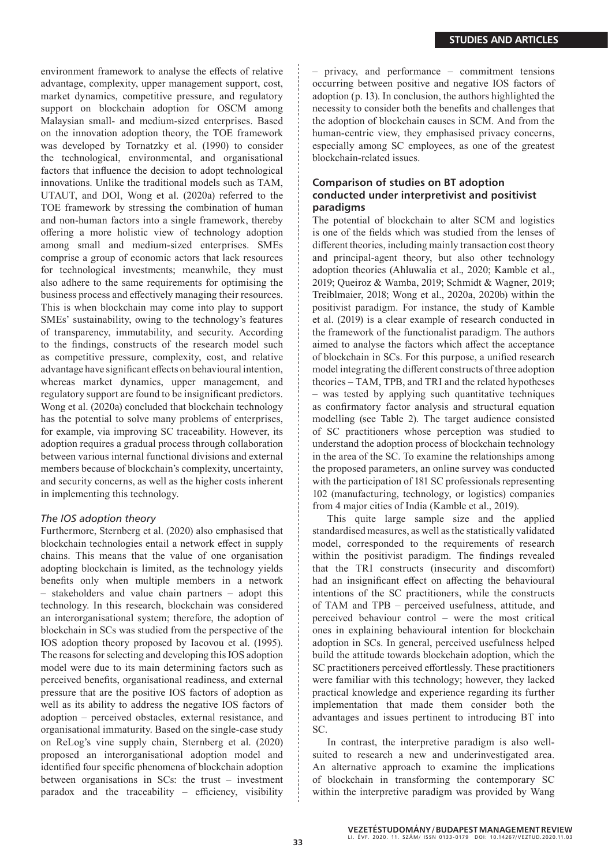environment framework to analyse the effects of relative advantage, complexity, upper management support, cost, market dynamics, competitive pressure, and regulatory support on blockchain adoption for OSCM among Malaysian small- and medium-sized enterprises. Based on the innovation adoption theory, the TOE framework was developed by Tornatzky et al. (1990) to consider the technological, environmental, and organisational factors that influence the decision to adopt technological innovations. Unlike the traditional models such as TAM, UTAUT, and DOI, Wong et al. (2020a) referred to the TOE framework by stressing the combination of human and non-human factors into a single framework, thereby offering a more holistic view of technology adoption among small and medium-sized enterprises. SMEs comprise a group of economic actors that lack resources for technological investments; meanwhile, they must also adhere to the same requirements for optimising the business process and effectively managing their resources. This is when blockchain may come into play to support SMEs' sustainability, owing to the technology's features of transparency, immutability, and security. According to the findings, constructs of the research model such as competitive pressure, complexity, cost, and relative advantage have significant effects on behavioural intention, whereas market dynamics, upper management, and regulatory support are found to be insignificant predictors. Wong et al. (2020a) concluded that blockchain technology has the potential to solve many problems of enterprises, for example, via improving SC traceability. However, its adoption requires a gradual process through collaboration between various internal functional divisions and external members because of blockchain's complexity, uncertainty, and security concerns, as well as the higher costs inherent in implementing this technology.

#### *The IOS adoption theory*

Furthermore, Sternberg et al. (2020) also emphasised that blockchain technologies entail a network effect in supply chains. This means that the value of one organisation adopting blockchain is limited, as the technology yields benefits only when multiple members in a network – stakeholders and value chain partners – adopt this technology. In this research, blockchain was considered an interorganisational system; therefore, the adoption of blockchain in SCs was studied from the perspective of the IOS adoption theory proposed by Iacovou et al. (1995). The reasons for selecting and developing this IOS adoption model were due to its main determining factors such as perceived benefits, organisational readiness, and external pressure that are the positive IOS factors of adoption as well as its ability to address the negative IOS factors of adoption – perceived obstacles, external resistance, and organisational immaturity. Based on the single-case study on ReLog's vine supply chain, Sternberg et al. (2020) proposed an interorganisational adoption model and identified four specific phenomena of blockchain adoption between organisations in SCs: the trust – investment paradox and the traceability – efficiency, visibility – privacy, and performance – commitment tensions occurring between positive and negative IOS factors of adoption (p. 13). In conclusion, the authors highlighted the necessity to consider both the benefits and challenges that the adoption of blockchain causes in SCM. And from the human-centric view, they emphasised privacy concerns, especially among SC employees, as one of the greatest blockchain-related issues.

# **Comparison of studies on BT adoption conducted under interpretivist and positivist paradigms**

The potential of blockchain to alter SCM and logistics is one of the fields which was studied from the lenses of different theories, including mainly transaction cost theory and principal-agent theory, but also other technology adoption theories (Ahluwalia et al., 2020; Kamble et al., 2019; Queiroz & Wamba, 2019; Schmidt & Wagner, 2019; Treiblmaier, 2018; Wong et al., 2020a, 2020b) within the positivist paradigm. For instance, the study of Kamble et al. (2019) is a clear example of research conducted in the framework of the functionalist paradigm. The authors aimed to analyse the factors which affect the acceptance of blockchain in SCs. For this purpose, a unified research model integrating the different constructs of three adoption theories – TAM, TPB, and TRI and the related hypotheses – was tested by applying such quantitative techniques as confirmatory factor analysis and structural equation modelling (see Table 2). The target audience consisted of SC practitioners whose perception was studied to understand the adoption process of blockchain technology in the area of the SC. To examine the relationships among the proposed parameters, an online survey was conducted with the participation of 181 SC professionals representing 102 (manufacturing, technology, or logistics) companies from 4 major cities of India (Kamble et al., 2019).

This quite large sample size and the applied standardised measures, as well as the statistically validated model, corresponded to the requirements of research within the positivist paradigm. The findings revealed that the TRI constructs (insecurity and discomfort) had an insignificant effect on affecting the behavioural intentions of the SC practitioners, while the constructs of TAM and TPB – perceived usefulness, attitude, and perceived behaviour control – were the most critical ones in explaining behavioural intention for blockchain adoption in SCs. In general, perceived usefulness helped build the attitude towards blockchain adoption, which the SC practitioners perceived effortlessly. These practitioners were familiar with this technology; however, they lacked practical knowledge and experience regarding its further implementation that made them consider both the advantages and issues pertinent to introducing BT into SC.

In contrast, the interpretive paradigm is also wellsuited to research a new and underinvestigated area. An alternative approach to examine the implications of blockchain in transforming the contemporary SC within the interpretive paradigm was provided by Wang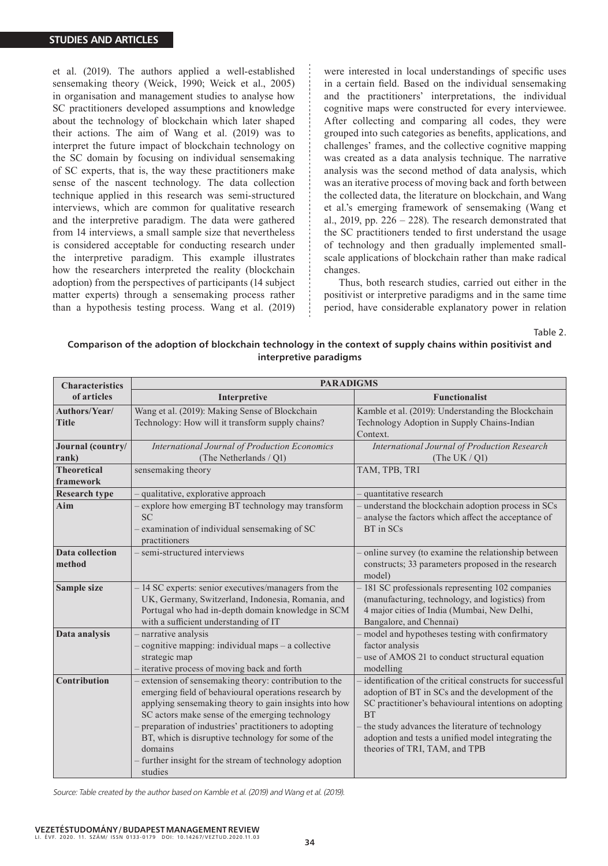et al. (2019). The authors applied a well-established sensemaking theory (Weick, 1990; Weick et al., 2005) in organisation and management studies to analyse how SC practitioners developed assumptions and knowledge about the technology of blockchain which later shaped their actions. The aim of Wang et al. (2019) was to interpret the future impact of blockchain technology on the SC domain by focusing on individual sensemaking of SC experts, that is, the way these practitioners make sense of the nascent technology. The data collection technique applied in this research was semi-structured interviews, which are common for qualitative research and the interpretive paradigm. The data were gathered from 14 interviews, a small sample size that nevertheless is considered acceptable for conducting research under the interpretive paradigm. This example illustrates how the researchers interpreted the reality (blockchain adoption) from the perspectives of participants (14 subject matter experts) through a sensemaking process rather than a hypothesis testing process. Wang et al. (2019) were interested in local understandings of specific uses in a certain field. Based on the individual sensemaking and the practitioners' interpretations, the individual cognitive maps were constructed for every interviewee. After collecting and comparing all codes, they were grouped into such categories as benefits, applications, and challenges' frames, and the collective cognitive mapping was created as a data analysis technique. The narrative analysis was the second method of data analysis, which was an iterative process of moving back and forth between the collected data, the literature on blockchain, and Wang et al.'s emerging framework of sensemaking (Wang et al., 2019, pp.  $226 - 228$ ). The research demonstrated that the SC practitioners tended to first understand the usage of technology and then gradually implemented smallscale applications of blockchain rather than make radical changes.

Thus, both research studies, carried out either in the positivist or interpretive paradigms and in the same time period, have considerable explanatory power in relation

Table 2.

## **Comparison of the adoption of blockchain technology in the context of supply chains within positivist and interpretive paradigms**

| <b>Characteristics</b>          | <b>PARADIGMS</b>                                                                                                                                                                                                                                                                                                                                                                                                        |                                                                                                                                                                                                                                                                                                                             |  |  |  |  |
|---------------------------------|-------------------------------------------------------------------------------------------------------------------------------------------------------------------------------------------------------------------------------------------------------------------------------------------------------------------------------------------------------------------------------------------------------------------------|-----------------------------------------------------------------------------------------------------------------------------------------------------------------------------------------------------------------------------------------------------------------------------------------------------------------------------|--|--|--|--|
| of articles                     | Interpretive                                                                                                                                                                                                                                                                                                                                                                                                            | <b>Functionalist</b>                                                                                                                                                                                                                                                                                                        |  |  |  |  |
| Authors/Year/<br><b>Title</b>   | Wang et al. (2019): Making Sense of Blockchain<br>Technology: How will it transform supply chains?                                                                                                                                                                                                                                                                                                                      | Kamble et al. (2019): Understanding the Blockchain<br>Technology Adoption in Supply Chains-Indian<br>Context.                                                                                                                                                                                                               |  |  |  |  |
| Journal (country/<br>rank)      | International Journal of Production Economics<br>(The Netherlands / Q1)                                                                                                                                                                                                                                                                                                                                                 | International Journal of Production Research<br>(The UK $/$ Q1)                                                                                                                                                                                                                                                             |  |  |  |  |
| <b>Theoretical</b><br>framework | sensemaking theory                                                                                                                                                                                                                                                                                                                                                                                                      | TAM, TPB, TRI                                                                                                                                                                                                                                                                                                               |  |  |  |  |
| <b>Research type</b>            | qualitative, explorative approach                                                                                                                                                                                                                                                                                                                                                                                       | quantitative research                                                                                                                                                                                                                                                                                                       |  |  |  |  |
| Aim                             | explore how emerging BT technology may transform<br><b>SC</b><br>- examination of individual sensemaking of SC<br>practitioners                                                                                                                                                                                                                                                                                         | - understand the blockchain adoption process in SCs<br>analyse the factors which affect the acceptance of<br>BT in SCs                                                                                                                                                                                                      |  |  |  |  |
| Data collection<br>method       | - semi-structured interviews                                                                                                                                                                                                                                                                                                                                                                                            | online survey (to examine the relationship between<br>constructs; 33 parameters proposed in the research<br>model)                                                                                                                                                                                                          |  |  |  |  |
| Sample size                     | - 14 SC experts: senior executives/managers from the<br>UK, Germany, Switzerland, Indonesia, Romania, and<br>Portugal who had in-depth domain knowledge in SCM<br>with a sufficient understanding of IT                                                                                                                                                                                                                 | 181 SC professionals representing 102 companies<br>(manufacturing, technology, and logistics) from<br>4 major cities of India (Mumbai, New Delhi,<br>Bangalore, and Chennai)                                                                                                                                                |  |  |  |  |
| Data analysis                   | - narrative analysis<br>cognitive mapping: individual maps - a collective<br>strategic map<br>- iterative process of moving back and forth                                                                                                                                                                                                                                                                              | model and hypotheses testing with confirmatory<br>factor analysis<br>use of AMOS 21 to conduct structural equation<br>modelling                                                                                                                                                                                             |  |  |  |  |
| Contribution                    | extension of sensemaking theory: contribution to the<br>emerging field of behavioural operations research by<br>applying sensemaking theory to gain insights into how<br>SC actors make sense of the emerging technology<br>preparation of industries' practitioners to adopting<br>BT, which is disruptive technology for some of the<br>domains<br>- further insight for the stream of technology adoption<br>studies | identification of the critical constructs for successful<br>adoption of BT in SCs and the development of the<br>SC practitioner's behavioural intentions on adopting<br><b>BT</b><br>the study advances the literature of technology<br>adoption and tests a unified model integrating the<br>theories of TRI, TAM, and TPB |  |  |  |  |

Source: Table created by the author based on Kamble et al. (2019) and Wang et al. (2019).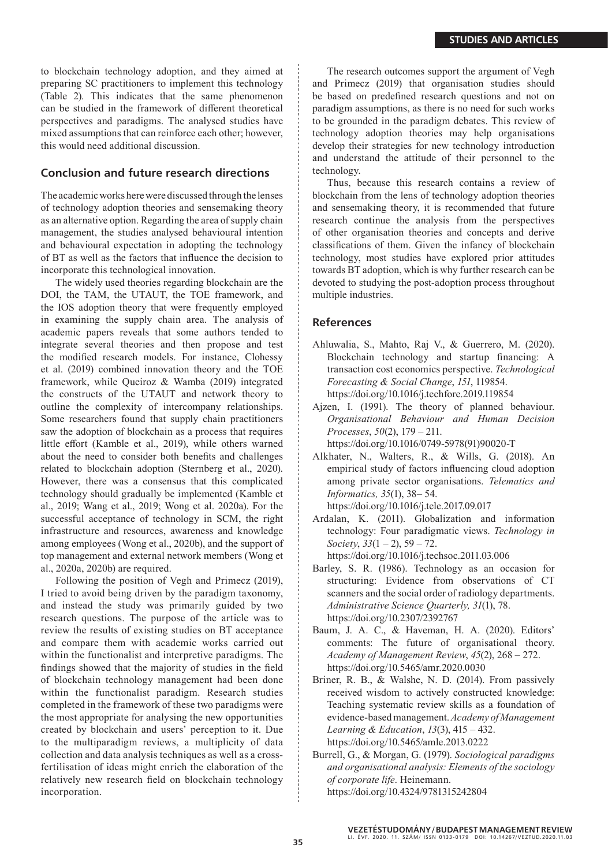to blockchain technology adoption, and they aimed at preparing SC practitioners to implement this technology (Table 2). This indicates that the same phenomenon can be studied in the framework of different theoretical perspectives and paradigms. The analysed studies have mixed assumptions that can reinforce each other; however, this would need additional discussion.

# **Conclusion and future research directions**

The academic works here were discussed through the lenses of technology adoption theories and sensemaking theory as an alternative option. Regarding the area of supply chain management, the studies analysed behavioural intention and behavioural expectation in adopting the technology of BT as well as the factors that influence the decision to incorporate this technological innovation.

The widely used theories regarding blockchain are the DOI, the TAM, the UTAUT, the TOE framework, and the IOS adoption theory that were frequently employed in examining the supply chain area. The analysis of academic papers reveals that some authors tended to integrate several theories and then propose and test the modified research models. For instance, Clohessy et al. (2019) combined innovation theory and the TOE framework, while Queiroz & Wamba (2019) integrated the constructs of the UTAUT and network theory to outline the complexity of intercompany relationships. Some researchers found that supply chain practitioners saw the adoption of blockchain as a process that requires little effort (Kamble et al., 2019), while others warned about the need to consider both benefits and challenges related to blockchain adoption (Sternberg et al., 2020). However, there was a consensus that this complicated technology should gradually be implemented (Kamble et al., 2019; Wang et al., 2019; Wong et al. 2020a). For the successful acceptance of technology in SCM, the right infrastructure and resources, awareness and knowledge among employees (Wong et al., 2020b), and the support of top management and external network members (Wong et al., 2020a, 2020b) are required.

Following the position of Vegh and Primecz (2019), I tried to avoid being driven by the paradigm taxonomy, and instead the study was primarily guided by two research questions. The purpose of the article was to review the results of existing studies on BT acceptance and compare them with academic works carried out within the functionalist and interpretive paradigms. The findings showed that the majority of studies in the field of blockchain technology management had been done within the functionalist paradigm. Research studies completed in the framework of these two paradigms were the most appropriate for analysing the new opportunities created by blockchain and users' perception to it. Due to the multiparadigm reviews, a multiplicity of data collection and data analysis techniques as well as a crossfertilisation of ideas might enrich the elaboration of the relatively new research field on blockchain technology incorporation.

The research outcomes support the argument of Vegh and Primecz (2019) that organisation studies should be based on predefined research questions and not on paradigm assumptions, as there is no need for such works to be grounded in the paradigm debates. This review of technology adoption theories may help organisations develop their strategies for new technology introduction and understand the attitude of their personnel to the technology.

Thus, because this research contains a review of blockchain from the lens of technology adoption theories and sensemaking theory, it is recommended that future research continue the analysis from the perspectives of other organisation theories and concepts and derive classifications of them. Given the infancy of blockchain technology, most studies have explored prior attitudes towards BT adoption, which is why further research can be devoted to studying the post-adoption process throughout multiple industries.

## **References**

- Ahluwalia, S., Mahto, Raj V., & Guerrero, M. (2020). Blockchain technology and startup financing: A transaction cost economics perspective. *Technological Forecasting & Social Change*, *151*, 119854. https://doi.org/10.1016/j.techfore.2019.119854
- Ajzen, I. (1991). The theory of planned behaviour. *Organisational Behaviour and Human Decision Processes*, *50*(2), 179 – 211. https://doi.org/10.1016/0749-5978(91)90020-T
- Alkhater, N., Walters, R., & Wills, G. (2018). An empirical study of factors influencing cloud adoption
- among private sector organisations. *Telematics and Informatics, 35*(1), 38– 54. https://doi.org/10.1016/j.tele.2017.09.017
- Ardalan, K. (2011). Globalization and information technology: Four paradigmatic views. *Technology in Society*, *33*(1 – 2), 59 – 72. https://doi.org/10.1016/j.techsoc.2011.03.006
- Barley, S. R. (1986). Technology as an occasion for structuring: Evidence from observations of CT scanners and the social order of radiology departments. *Administrative Science Quarterly, 31*(1), 78. https://doi.org/10.2307/2392767
- Baum, J. A. C., & Haveman, H. A. (2020). Editors' comments: The future of organisational theory. *Academy of Management Review*, *45*(2), 268 – 272. https://doi.org/10.5465/amr.2020.0030
- Briner, R. B., & Walshe, N. D. (2014). From passively received wisdom to actively constructed knowledge: Teaching systematic review skills as a foundation of evidence-based management. *Academy of Management Learning & Education*, *13*(3), 415 – 432. https://doi.org/10.5465/amle.2013.0222
- Burrell, G., & Morgan, G. (1979). *Sociological paradigms and organisational analysis: Elements of the sociology of corporate life*. Heinemann. https://doi.org/10.4324/9781315242804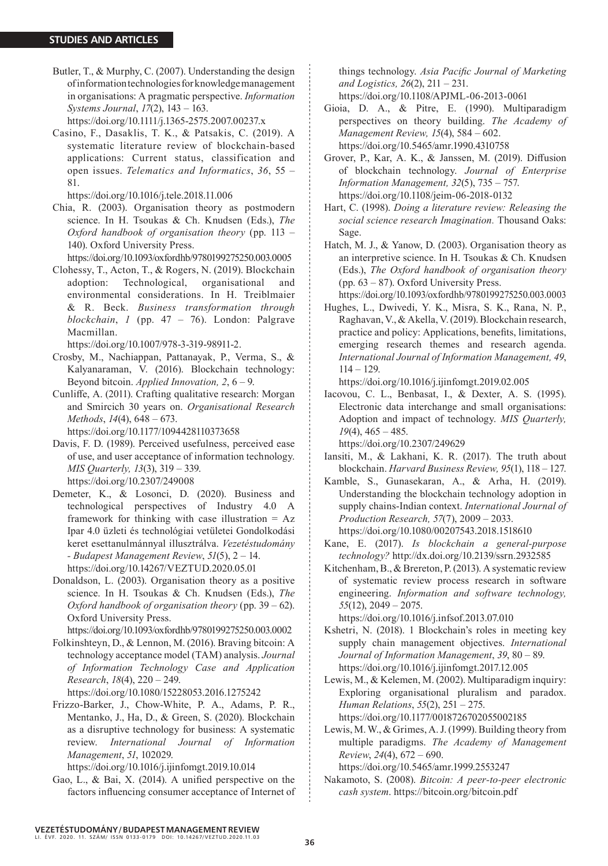Butler, T., & Murphy, C. (2007). Understanding the design of information technologies for knowledge management in organisations: A pragmatic perspective. *Information Systems Journal*, *17*(2), 143 – 163.

https://doi.org/10.1111/j.1365-2575.2007.00237.x

Casino, F., Dasaklis, T. K., & Patsakis, C. (2019). A systematic literature review of blockchain-based applications: Current status, classification and open issues. *Telematics and Informatics*, *36*, 55 – 81.

https://doi.org/10.1016/j.tele.2018.11.006

Chia, R. (2003). Organisation theory as postmodern science. In H. Tsoukas & Ch. Knudsen (Eds.), *The Oxford handbook of organisation theory* (pp. 113 – 140). Oxford University Press.

https://doi.org/10.1093/oxfordhb/9780199275250.003.0005

Clohessy, T., Acton, T., & Rogers, N. (2019). Blockchain adoption: Technological, organisational and environmental considerations. In H. Treiblmaier & R. Beck. *Business transformation through blockchain*, *1* (pp. 47 – 76). London: Palgrave Macmillan.

https://doi.org/10.1007/978-3-319-98911-2.

- Crosby, M., Nachiappan, Pattanayak, P., Verma, S., & Kalyanaraman, V. (2016). Blockchain technology: Beyond bitcoin. *Applied Innovation, 2*, 6 – 9.
- Cunliffe, A. (2011). Crafting qualitative research: Morgan and Smircich 30 years on. *Organisational Research Methods*, *14*(4), 648 – 673.

https://doi.org/10.1177/1094428110373658

- Davis, F. D. (1989). Perceived usefulness, perceived ease of use, and user acceptance of information technology. *MIS Quarterly, 13*(3), 319 – 339. https://doi.org/10.2307/249008
- Demeter, K., & Losonci, D. (2020). Business and technological perspectives of Industry 4.0 A framework for thinking with case illustration  $= Az$ Ipar 4.0 üzleti és technológiai vetületei Gondolkodási keret esettanulmánnyal illusztrálva. *Vezetéstudomány - Budapest Management Review*, *51*(5), 2 – 14. https://doi.org/10.14267/VEZTUD.2020.05.01
- Donaldson, L. (2003). Organisation theory as a positive science. In H. Tsoukas & Ch. Knudsen (Eds.), *The Oxford handbook of organisation theory* (pp. 39 – 62). Oxford University Press.

https://doi.org/10.1093/oxfordhb/9780199275250.003.0002

Folkinshteyn, D., & Lennon, M. (2016). Braving bitcoin: A technology acceptance model (TAM) analysis. *Journal of Information Technology Case and Application Research*, *18*(4), 220 – 249.

https://doi.org/10.1080/15228053.2016.1275242

Frizzo-Barker, J., Chow-White, P. A., Adams, P. R., Mentanko, J., Ha, D., & Green, S. (2020). Blockchain as a disruptive technology for business: A systematic review. *International Journal of Information Management*, *51*, 102029.

https://doi.org/10.1016/j.ijinfomgt.2019.10.014

Gao, L., & Bai, X. (2014). A unified perspective on the factors influencing consumer acceptance of Internet of things technology. *Asia Pacific Journal of Marketing and Logistics, 26*(2), 211 – 231. https://doi.org/10.1108/APJML-06-2013-0061

- Gioia, D. A., & Pitre, E. (1990). Multiparadigm perspectives on theory building. *The Academy of Management Review, 15*(4), 584 – 602. https://doi.org/10.5465/amr.1990.4310758
- Grover, P., Kar, A. K., & Janssen, M. (2019). Diffusion of blockchain technology. *Journal of Enterprise Information Management, 32*(5), 735 – 757. https://doi.org/10.1108/jeim-06-2018-0132
- Hart, C. (1998). *Doing a literature review: Releasing the social science research Imagination.* Thousand Oaks: Sage.
- Hatch, M. J., & Yanow, D. (2003). Organisation theory as an interpretive science. In H. Tsoukas & Ch. Knudsen (Eds.), *The Oxford handbook of organisation theory* (pp. 63 – 87). Oxford University Press.

https://doi.org/10.1093/oxfordhb/9780199275250.003.0003

Hughes, L., Dwivedi, Y. K., Misra, S. K., Rana, N. P., Raghavan, V., & Akella, V. (2019). Blockchain research, practice and policy: Applications, benefits, limitations, emerging research themes and research agenda. *International Journal of Information Management, 49*,  $114 - 129.$ 

https://doi.org/10.1016/j.ijinfomgt.2019.02.005

Iacovou, C. L., Benbasat, I., & Dexter, A. S. (1995). Electronic data interchange and small organisations: Adoption and impact of technology. *MIS Quarterly, 19*(4), 465 – 485.

https://doi.org/10.2307/249629

- Iansiti, M., & Lakhani, K. R. (2017). The truth about blockchain. *Harvard Business Review, 95*(1), 118 – 127.
- Kamble, S., Gunasekaran, A., & Arha, H. (2019). Understanding the blockchain technology adoption in supply chains-Indian context. *International Journal of Production Research, 57*(7), 2009 – 2033. https://doi.org/10.1080/00207543.2018.1518610
- Kane, E. (2017). *Is blockchain a general-purpose technology?* http://dx.doi.org/10.2139/ssrn.2932585
- Kitchenham, B., & Brereton, P. (2013). A systematic review of systematic review process research in software engineering. *Information and software technology, 55*(12), 2049 – 2075.

https://doi.org/10.1016/j.infsof.2013.07.010

Kshetri, N. (2018). 1 Blockchain's roles in meeting key supply chain management objectives. *International Journal of Information Management*, *39*, 80 – 89. https://doi.org/10.1016/j.ijinfomgt.2017.12.005

Lewis, M., & Kelemen, M. (2002). Multiparadigm inquiry: Exploring organisational pluralism and paradox. *Human Relations*, *55*(2), 251 – 275. https://doi.org/10.1177/0018726702055002185

Lewis, M. W., & Grimes, A. J. (1999). Building theory from multiple paradigms. *The Academy of Management Review*, *24*(4), 672 – 690.

https://doi.org/10.5465/amr.1999.2553247

Nakamoto, S. (2008). *Bitcoin: A peer‐to‐peer electronic cash system*. https://bitcoin.org/bitcoin.pdf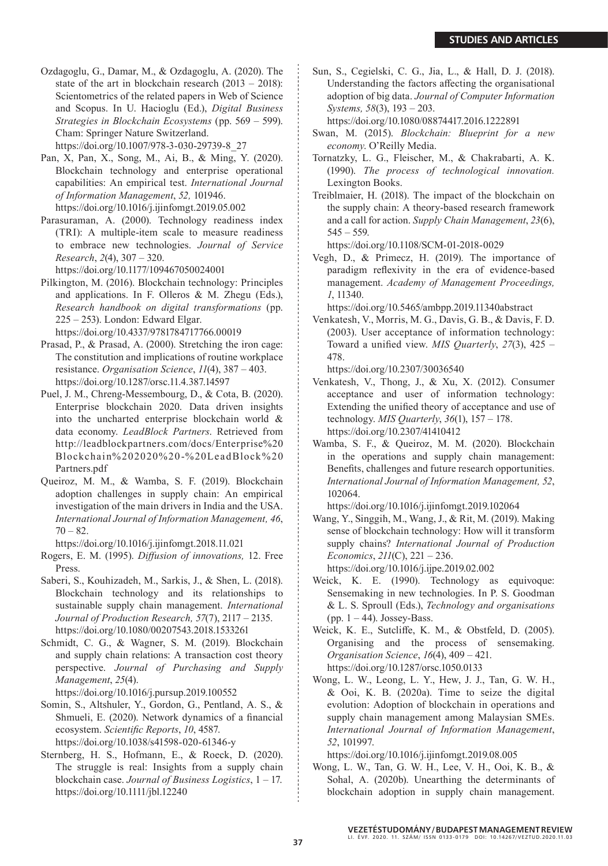Ozdagoglu, G., Damar, M., & Ozdagoglu, A. (2020). The state of the art in blockchain research (2013 – 2018): Scientometrics of the related papers in Web of Science and Scopus. In U. Hacioglu (Ed.), *Digital Business Strategies in Blockchain Ecosystems* (pp. 569 – 599). Cham: Springer Nature Switzerland. https://doi.org/10.1007/978-3-030-29739-8\_27

Pan, X, Pan, X., Song, M., Ai, B., & Ming, Y. (2020). Blockchain technology and enterprise operational capabilities: An empirical test. *International Journal of Information Management*, *52,* 101946. https://doi.org/10.1016/j.ijinfomgt.2019.05.002

Parasuraman, A. (2000). Technology readiness index (TRI): A multiple-item scale to measure readiness to embrace new technologies. *Journal of Service Research*, *2*(4), 307 – 320.

https://doi.org/10.1177/109467050024001

Pilkington, M. (2016). Blockchain technology: Principles and applications. In F. Olleros & M. Zhegu (Eds.), *Research handbook on digital transformations* (pp. 225 – 253). London: Edward Elgar. https://doi.org/10.4337/9781784717766.00019

Prasad, P., & Prasad, A. (2000). Stretching the iron cage: The constitution and implications of routine workplace resistance. *Organisation Science*, *11*(4), 387 – 403. https://doi.org/10.1287/orsc.11.4.387.14597

- Puel, J. M., Chreng-Messembourg, D., & Cota, B. (2020). Enterprise blockchain 2020. Data driven insights into the uncharted enterprise blockchain world & data economy. *LeadBlock Partners*. Retrieved from http://leadblockpartners.com/docs/Enterprise%20 Blockchain%202020%20-%20LeadBlock%20 Partners.pdf
- Queiroz, M. M., & Wamba, S. F. (2019). Blockchain adoption challenges in supply chain: An empirical investigation of the main drivers in India and the USA. *International Journal of Information Management, 46*,  $70 - 82.$

https://doi.org/10.1016/j.ijinfomgt.2018.11.021

- Rogers, E. M. (1995). *Diffusion of innovations,* 12. Free Press.
- Saberi, S., Kouhizadeh, M., Sarkis, J., & Shen, L. (2018). Blockchain technology and its relationships to sustainable supply chain management. *International Journal of Production Research, 57*(7), 2117 – 2135. https://doi.org/10.1080/00207543.2018.1533261
- Schmidt, C. G., & Wagner, S. M. (2019). Blockchain and supply chain relations: A transaction cost theory perspective. *Journal of Purchasing and Supply Management*, *25*(4).

https://doi.org/10.1016/j.pursup.2019.100552

- Somin, S., Altshuler, Y., Gordon, G., Pentland, A. S., & Shmueli, E. (2020). Network dynamics of a financial ecosystem. *Scientific Reports*, *10*, 4587. https://doi.org/10.1038/s41598-020-61346-y
- Sternberg, H. S., Hofmann, E., & Roeck, D. (2020). The struggle is real: Insights from a supply chain blockchain case. *Journal of Business Logistics*, 1 – 17. https://doi.org/10.1111/jbl.12240

Sun, S., Cegielski, C. G., Jia, L., & Hall, D. J. (2018). Understanding the factors affecting the organisational adoption of big data. *Journal of Computer Information Systems, 58*(3), 193 – 203.

https://doi.org/10.1080/08874417.2016.1222891

- Swan, M. (2015). *Blockchain: Blueprint for a new economy*. O'Reilly Media.
- Tornatzky, L. G., Fleischer, M., & Chakrabarti, A. K. (1990). *The process of technological innovation.* Lexington Books.
- Treiblmaier, H. (2018). The impact of the blockchain on the supply chain: A theory-based research framework and a call for action. *Supply Chain Management*, *23*(6),  $545 - 559$ .

https://doi.org/10.1108/SCM-01-2018-0029

Vegh, D., & Primecz, H. (2019). The importance of paradigm reflexivity in the era of evidence-based management. *Academy of Management Proceedings, 1*, 11340.

https://doi.org/10.5465/ambpp.2019.11340abstract

Venkatesh, V., Morris, M. G., Davis, G. B., & Davis, F. D. (2003). User acceptance of information technology: Toward a unified view. *MIS Quarterly*, *27*(3), 425 – 478.

https://doi.org/10.2307/30036540

- Venkatesh, V., Thong, J., & Xu, X. (2012). Consumer acceptance and user of information technology: Extending the unified theory of acceptance and use of technology. *MIS Quarterly*, *36*(1), 157 – 178. https://doi.org/10.2307/41410412
- Wamba, S. F., & Queiroz, M. M. (2020). Blockchain in the operations and supply chain management: Benefits, challenges and future research opportunities. *International Journal of Information Management, 52*, 102064.

https://doi.org/10.1016/j.ijinfomgt.2019.102064

Wang, Y., Singgih, M., Wang, J., & Rit, M. (2019). Making sense of blockchain technology: How will it transform supply chains? *International Journal of Production Economics*, *211*(C), 221 – 236.

https://doi.org/10.1016/j.ijpe.2019.02.002

- Weick, K. E. (1990). Technology as equivoque: Sensemaking in new technologies. In P. S. Goodman & L. S. Sproull (Eds.), *Technology and organisations* (pp.  $1 - 44$ ). Jossey-Bass.
- Weick, K. E., Sutcliffe, K. M., & Obstfeld, D. (2005). Organising and the process of sensemaking. *Organisation Science*, *16*(4), 409 – 421. https://doi.org/10.1287/orsc.1050.0133
- Wong, L. W., Leong, L. Y., Hew, J. J., Tan, G. W. H., & Ooi, K. B. (2020a). Time to seize the digital evolution: Adoption of blockchain in operations and supply chain management among Malaysian SMEs. *International Journal of Information Management*, *52*, 101997.

https://doi.org/10.1016/j.ijinfomgt.2019.08.005

Wong, L. W., Tan, G. W. H., Lee, V. H., Ooi, K. B., & Sohal, A. (2020b). Unearthing the determinants of blockchain adoption in supply chain management.